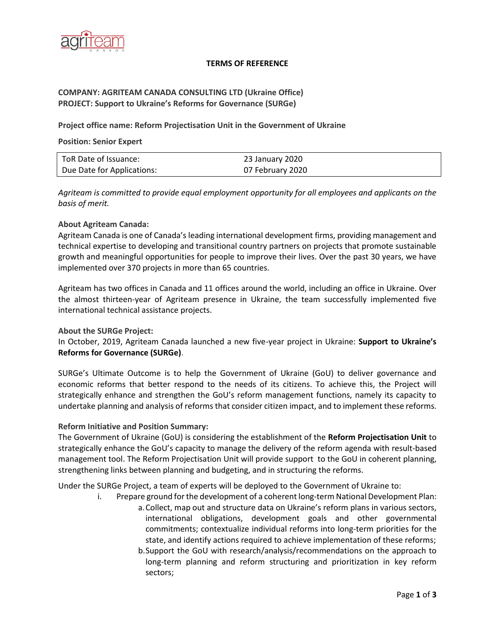

### **TERMS OF REFERENCE**

## **COMPANY: AGRITEAM CANADA CONSULTING LTD (Ukraine Office) PROJECT: Support to Ukraine's Reforms for Governance (SURGe)**

**Project office name: Reform Projectisation Unit in the Government of Ukraine** 

### **Position: Senior Expert**

| ToR Date of Issuance:      | 23 January 2020  |
|----------------------------|------------------|
| Due Date for Applications: | 07 February 2020 |

*Agriteam is committed to provide equal employment opportunity for all employees and applicants on the basis of merit.*

## **About Agriteam Canada:**

Agriteam Canada is one of Canada's leading international development firms, providing management and technical expertise to developing and transitional country partners on projects that promote sustainable growth and meaningful opportunities for people to improve their lives. Over the past 30 years, we have implemented over 370 projects in more than 65 countries.

Agriteam has two offices in Canada and 11 offices around the world, including an office in Ukraine. Over the almost thirteen-year of Agriteam presence in Ukraine, the team successfully implemented five international technical assistance projects.

## **About the SURGe Project:**

In October, 2019, Agriteam Canada launched a new five-year project in Ukraine: **Support to Ukraine's Reforms for Governance (SURGe)**.

SURGe's Ultimate Outcome is to help the Government of Ukraine (GoU) to deliver governance and economic reforms that better respond to the needs of its citizens. To achieve this, the Project will strategically enhance and strengthen the GoU's reform management functions, namely its capacity to undertake planning and analysis of reforms that consider citizen impact, and to implement these reforms.

### **Reform Initiative and Position Summary:**

The Government of Ukraine (GoU) is considering the establishment of the **Reform Projectisation Unit** to strategically enhance the GoU's capacity to manage the delivery of the reform agenda with result-based management tool. The Reform Projectisation Unit will provide support to the GoU in coherent planning, strengthening links between planning and budgeting, and in structuring the reforms.

Under the SURGe Project, a team of experts will be deployed to the Government of Ukraine to:

- i. Prepare ground for the development of a coherent long-term National Development Plan:
	- a.Collect, map out and structure data on Ukraine's reform plans in various sectors, international obligations, development goals and other governmental commitments; contextualize individual reforms into long-term priorities for the state, and identify actions required to achieve implementation of these reforms;
		- b.Support the GoU with research/analysis/recommendations on the approach to long-term planning and reform structuring and prioritization in key reform sectors;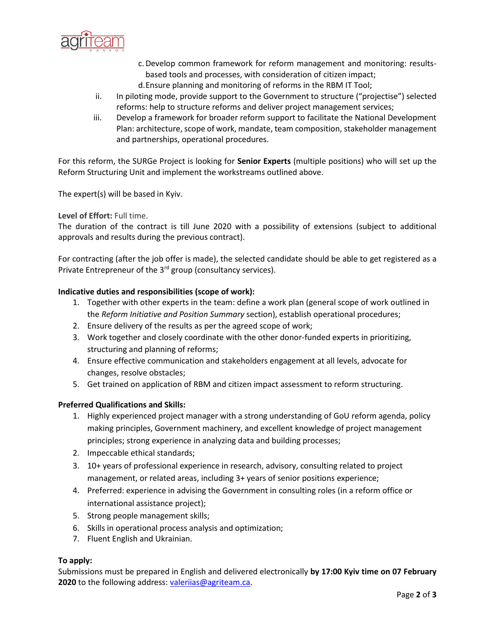

- c.Develop common framework for reform management and monitoring: resultsbased tools and processes, with consideration of citizen impact;
- d.Ensure planning and monitoring of reforms in the RBM IT Tool;
- ii. In piloting mode, provide support to the Government to structure ("projectise") selected reforms: help to structure reforms and deliver project management services;
- iii. Develop a framework for broader reform support to facilitate the National Development Plan: architecture, scope of work, mandate, team composition, stakeholder management and partnerships, operational procedures.

For this reform, the SURGe Project is looking for **Senior Experts** (multiple positions) who will set up the Reform Structuring Unit and implement the workstreams outlined above.

The expert(s) will be based in Kyiv.

## **Level of Effort:** Full time.

The duration of the contract is till June 2020 with a possibility of extensions (subject to additional approvals and results during the previous contract).

For contracting (after the job offer is made), the selected candidate should be able to get registered as a Private Entrepreneur of the 3<sup>rd</sup> group (consultancy services).

## **Indicative duties and responsibilities (scope of work):**

- 1. Together with other experts in the team: define a work plan (general scope of work outlined in the *Reform Initiative and Position Summary* section), establish operational procedures;
- 2. Ensure delivery of the results as per the agreed scope of work;
- 3. Work together and closely coordinate with the other donor-funded experts in prioritizing, structuring and planning of reforms;
- 4. Ensure effective communication and stakeholders engagement at all levels, advocate for changes, resolve obstacles;
- 5. Get trained on application of RBM and citizen impact assessment to reform structuring.

### **Preferred Qualifications and Skills:**

- 1. Highly experienced project manager with a strong understanding of GoU reform agenda, policy making principles, Government machinery, and excellent knowledge of project management principles; strong experience in analyzing data and building processes;
- 2. Impeccable ethical standards;
- 3. 10+ years of professional experience in research, advisory, consulting related to project management, or related areas, including 3+ years of senior positions experience;
- 4. Preferred: experience in advising the Government in consulting roles (in a reform office or international assistance project);
- 5. Strong people management skills;
- 6. Skills in operational process analysis and optimization;
- 7. Fluent English and Ukrainian.

### **To apply:**

Submissions must be prepared in English and delivered electronically **by 17:00 Kyiv time on 07 February 2020** to the following address: [valeriias@agriteam.ca.](mailto:valeriias@agriteam.ca)